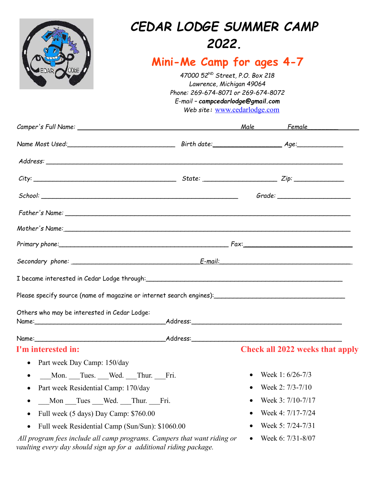|                                                                                                                                                                                                                               | <b>CEDAR LODGE SUMMER CAMP</b><br>2022.<br>Mini-Me Camp for ages 4-7<br>47000 52 <sup>ND</sup> Street, P.O. Box 218<br>Lawrence, Michigan 49064<br>Phone: 269-674-8071 or 269-674-8072<br>E-mail - campcedarlodge@gmail.com<br>Web site: www.cedarlodge.com |  |                                        |
|-------------------------------------------------------------------------------------------------------------------------------------------------------------------------------------------------------------------------------|-------------------------------------------------------------------------------------------------------------------------------------------------------------------------------------------------------------------------------------------------------------|--|----------------------------------------|
|                                                                                                                                                                                                                               |                                                                                                                                                                                                                                                             |  |                                        |
|                                                                                                                                                                                                                               |                                                                                                                                                                                                                                                             |  |                                        |
|                                                                                                                                                                                                                               |                                                                                                                                                                                                                                                             |  |                                        |
| $City:$ $Zip:$ $Zip:$ $\Box$                                                                                                                                                                                                  |                                                                                                                                                                                                                                                             |  |                                        |
|                                                                                                                                                                                                                               |                                                                                                                                                                                                                                                             |  |                                        |
|                                                                                                                                                                                                                               |                                                                                                                                                                                                                                                             |  |                                        |
|                                                                                                                                                                                                                               |                                                                                                                                                                                                                                                             |  |                                        |
| Mother's Name: Notice of the Material Contract of the Material Contract of the Material Contract of the Material Contract of the Material Contract of the Material Contract of the Material Contract of the Material Contract |                                                                                                                                                                                                                                                             |  |                                        |
| Primary phone: Fax: Fax:                                                                                                                                                                                                      |                                                                                                                                                                                                                                                             |  |                                        |
|                                                                                                                                                                                                                               |                                                                                                                                                                                                                                                             |  |                                        |
|                                                                                                                                                                                                                               |                                                                                                                                                                                                                                                             |  |                                        |
|                                                                                                                                                                                                                               |                                                                                                                                                                                                                                                             |  |                                        |
| Please specify source (name of magazine or internet search engines):                                                                                                                                                          |                                                                                                                                                                                                                                                             |  |                                        |
| Others who may be interested in Cedar Lodge:                                                                                                                                                                                  |                                                                                                                                                                                                                                                             |  |                                        |
|                                                                                                                                                                                                                               |                                                                                                                                                                                                                                                             |  |                                        |
| Name: Address: Address: Address: Address: Address: Address: Address: Address: Address: Address: Address: Address: Address: Address: Address: Address: Address: Address: Address: Address: Address: Address: Address: Address: |                                                                                                                                                                                                                                                             |  |                                        |
| I'm interested in:                                                                                                                                                                                                            |                                                                                                                                                                                                                                                             |  | <b>Check all 2022 weeks that apply</b> |
| Part week Day Camp: 150/day<br>$\bullet$                                                                                                                                                                                      |                                                                                                                                                                                                                                                             |  |                                        |
| Mon. Tues. Wed. Thur. Fri.                                                                                                                                                                                                    |                                                                                                                                                                                                                                                             |  | Week 1: 6/26-7/3                       |
| Part week Residential Camp: 170/day<br>٠                                                                                                                                                                                      |                                                                                                                                                                                                                                                             |  | Week 2: 7/3-7/10                       |
| Mon Tues Wed. Thur. Fri.                                                                                                                                                                                                      |                                                                                                                                                                                                                                                             |  | Week 3: 7/10-7/17                      |
| Full week (5 days) Day Camp: \$760.00                                                                                                                                                                                         |                                                                                                                                                                                                                                                             |  | Week 4: 7/17-7/24                      |
| Full week Residential Camp (Sun/Sun): \$1060.00                                                                                                                                                                               |                                                                                                                                                                                                                                                             |  | Week 5: 7/24-7/31                      |
| All program fees include all camp programs. Campers that want riding or<br>vaulting every day should sign up for a additional riding package.                                                                                 |                                                                                                                                                                                                                                                             |  | Week 6: 7/31-8/07                      |